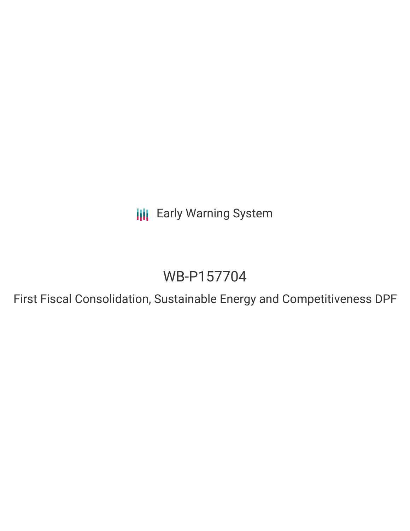**III** Early Warning System

# WB-P157704

First Fiscal Consolidation, Sustainable Energy and Competitiveness DPF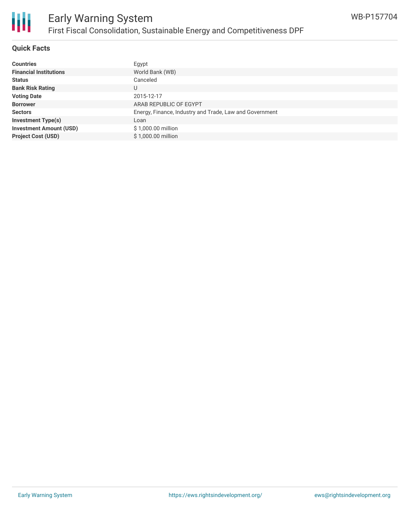

#### **Quick Facts**

| <b>Countries</b>               | Egypt                                                   |
|--------------------------------|---------------------------------------------------------|
| <b>Financial Institutions</b>  | World Bank (WB)                                         |
| <b>Status</b>                  | Canceled                                                |
| <b>Bank Risk Rating</b>        | U                                                       |
| <b>Voting Date</b>             | 2015-12-17                                              |
| <b>Borrower</b>                | ARAB REPUBLIC OF EGYPT                                  |
| <b>Sectors</b>                 | Energy, Finance, Industry and Trade, Law and Government |
| <b>Investment Type(s)</b>      | Loan                                                    |
| <b>Investment Amount (USD)</b> | \$1,000.00 million                                      |
| <b>Project Cost (USD)</b>      | \$1,000.00 million                                      |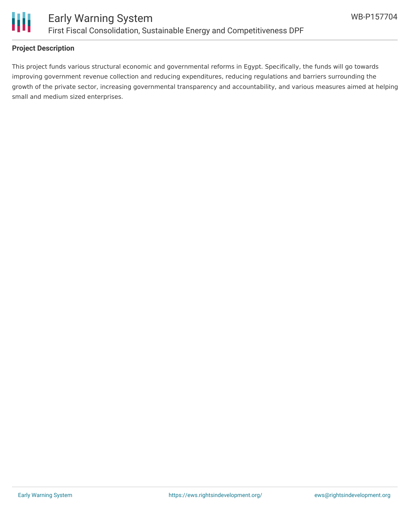

#### **Project Description**

This project funds various structural economic and governmental reforms in Egypt. Specifically, the funds will go towards improving government revenue collection and reducing expenditures, reducing regulations and barriers surrounding the growth of the private sector, increasing governmental transparency and accountability, and various measures aimed at helping small and medium sized enterprises.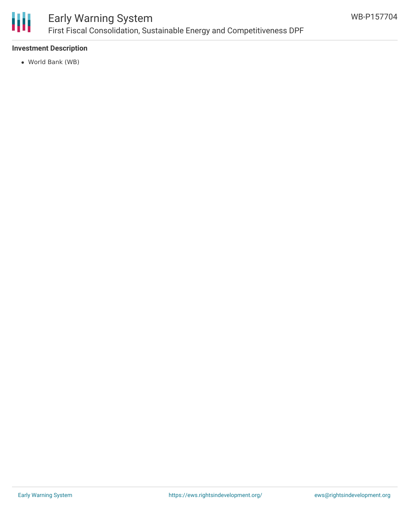

# Early Warning System First Fiscal Consolidation, Sustainable Energy and Competitiveness DPF

### **Investment Description**

World Bank (WB)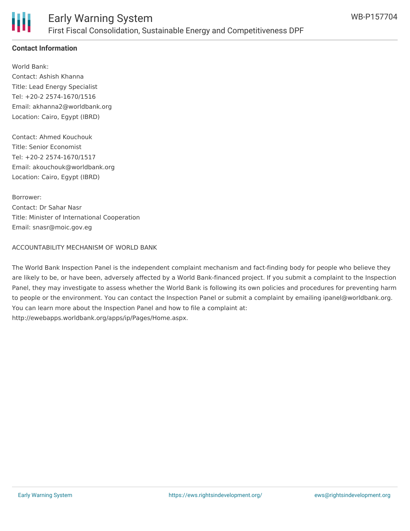

### **Contact Information**

World Bank: Contact: Ashish Khanna Title: Lead Energy Specialist Tel: +20-2 2574-1670/1516 Email: akhanna2@worldbank.org Location: Cairo, Egypt (IBRD)

Contact: Ahmed Kouchouk Title: Senior Economist Tel: +20-2 2574-1670/1517 Email: akouchouk@worldbank.org Location: Cairo, Egypt (IBRD)

Borrower: Contact: Dr Sahar Nasr Title: Minister of International Cooperation Email: snasr@moic.gov.eg

#### ACCOUNTABILITY MECHANISM OF WORLD BANK

The World Bank Inspection Panel is the independent complaint mechanism and fact-finding body for people who believe they are likely to be, or have been, adversely affected by a World Bank-financed project. If you submit a complaint to the Inspection Panel, they may investigate to assess whether the World Bank is following its own policies and procedures for preventing harm to people or the environment. You can contact the Inspection Panel or submit a complaint by emailing ipanel@worldbank.org. You can learn more about the Inspection Panel and how to file a complaint at: http://ewebapps.worldbank.org/apps/ip/Pages/Home.aspx.